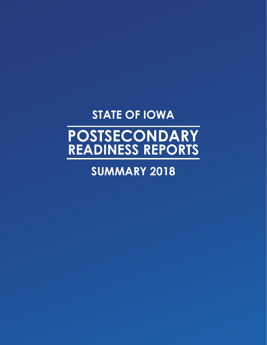# **STATE OF IOWA**

# **POSTSECONDARY READINESS REPORTS**

## **SUMMARY 2018**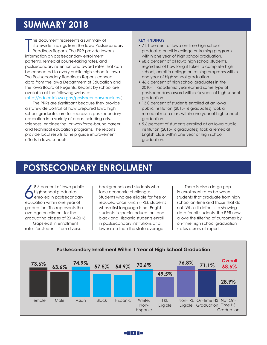### **SUMMARY 2018**

This document represents a summary of statewide findings from the lowa Posts<br>Readiness Reports. The PRR provide lot<br>information on postsecondary enrollment his document represents a summary of statewide findings from the Iowa Postsecondary Readiness Reports. The PRR provide Iowans patterns, remedial course-taking rates, and postsecondary retention and award rates that can be connected to every public high school in Iowa. The Postsecondary Readiness Reports connect data from the Iowa Department of Education and the Iowa Board of Regents. Reports by school are available at the following website:

#### (http://educateiowa.gov/postsecondaryreadiness).

The PRRs are significant because they provide a statewide portrait of how prepared Iowa high school graduates are for success in postsecondary education in a variety of areas including arts, sciences, engineering, or workforce-bound career and technical education programs. The reports provide local results to help guide improvement efforts in Iowa schools.

#### **KEY FINDINGS**

- 71.1 percent of Iowa on-time high school graduates enroll in college or training programs within one year of high school graduation.
- 68.6 percent of all Iowa high school students, regardless of how long it takes to complete high school, enroll in college or training programs within one year of high school graduation.
- 46.6 percent of high school graduates in the 2010-11 academic year earned some type of postsecondary award within six years of high school graduation.
- 13.0 percent of students enrolled at an Iowa public institution (2015-16 graduates) took a remedial math class within one year of high school graduation.
- 5.6 percent of students enrolled at an Iowa public institution (2015-16 graduates) took a remedial English class within one year of high school graduation.

### **POSTSECONDARY ENROLLMENT**

8.6 percent of lowa publical<br>high school graduates<br>education within one year of 8.6 percent of Iowa public high school graduates enrolled in postsecondary graduation. This represents the average enrollment for the graduating classes of 2014-2016. Gaps exist in enrollment rates for students from diverse

backgrounds and students who face economic challenges. Students who are eligible for free or reduced-price lunch (FRL), students whose first language is not English, students in special education, and black and Hispanic students enroll in postsecondary institutions at a lower rate than the state average.

There is also a large gap in enrollment rates between students that graduate from high school on-time and those that do not. While it defaults to showing data for all students, the PRR now allows the filtering of outcomes by on-time high school graduation status across all reports.



**1**